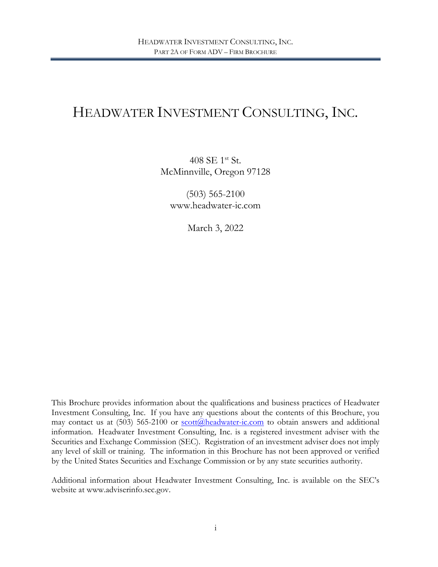# HEADWATER INVESTMENT CONSULTING, INC.

408 SE 1st St. McMinnville, Oregon 97128

(503) 565-2100 www.headwater-ic.com

March 3, 2022

This Brochure provides information about the qualifications and business practices of Headwater Investment Consulting, Inc. If you have any questions about the contents of this Brochure, you may contact us at  $(503)$  565-2100 or scott $@$ headwater-ic.com to obtain answers and additional information. Headwater Investment Consulting, Inc. is a registered investment adviser with the Securities and Exchange Commission (SEC). Registration of an investment adviser does not imply any level of skill or training. The information in this Brochure has not been approved or verified by the United States Securities and Exchange Commission or by any state securities authority.

Additional information about Headwater Investment Consulting, Inc. is available on the SEC's website at www.adviserinfo.sec.gov.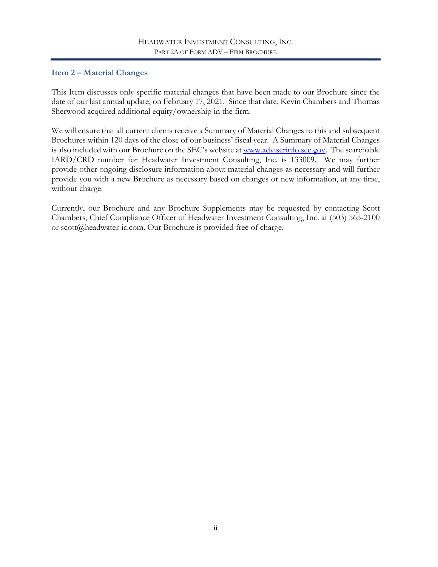# <span id="page-1-0"></span>**Item 2 – Material Changes**

This Item discusses only specific material changes that have been made to our Brochure since the date of our last annual update, on February 17, 2021. Since that date, Kevin Chambers and Thomas Sherwood acquired additional equity/ownership in the firm.

We will ensure that all current clients receive a Summary of Material Changes to this and subsequent Brochures within 120 days of the close of our business' fiscal year. A Summary of Material Changes is also included with our Brochure on the SEC's website at [www.adviserinfo.sec.gov.](http://www.adviserinfo.sec.gov/) The searchable IARD/CRD number for Headwater Investment Consulting, Inc. is 133009. We may further provide other ongoing disclosure information about material changes as necessary and will further provide you with a new Brochure as necessary based on changes or new information, at any time, without charge.

Currently, our Brochure and any Brochure Supplements may be requested by contacting Scott Chambers, Chief Compliance Officer of Headwater Investment Consulting, Inc. at (503) 565-2100 or scott@headwater-ic.com. Our Brochure is provided free of charge.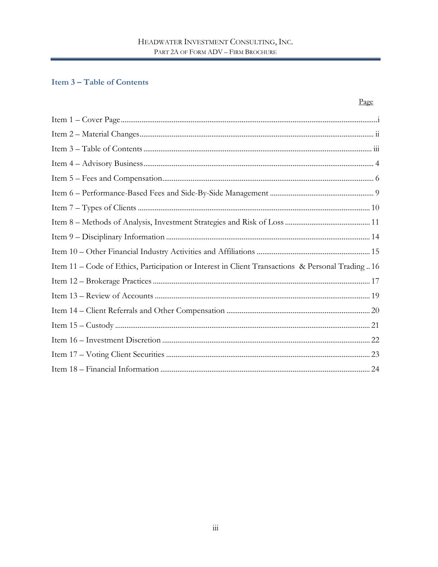# <span id="page-2-0"></span>**Item 3-Table of Contents**

| Item 11 - Code of Ethics, Participation or Interest in Client Transactions & Personal Trading16 |
|-------------------------------------------------------------------------------------------------|
|                                                                                                 |
|                                                                                                 |
|                                                                                                 |
|                                                                                                 |
|                                                                                                 |
|                                                                                                 |
|                                                                                                 |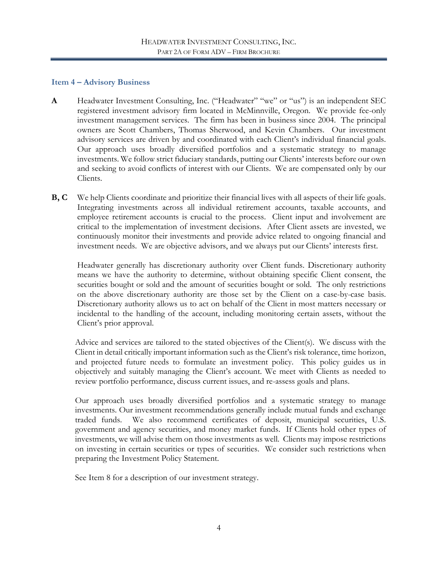#### <span id="page-3-0"></span>**Item 4 – Advisory Business**

- **A** Headwater Investment Consulting, Inc. ("Headwater" "we" or "us") is an independent SEC registered investment advisory firm located in McMinnville, Oregon. We provide fee-only investment management services. The firm has been in business since 2004. The principal owners are Scott Chambers, Thomas Sherwood, and Kevin Chambers. Our investment advisory services are driven by and coordinated with each Client's individual financial goals. Our approach uses broadly diversified portfolios and a systematic strategy to manage investments. We follow strict fiduciary standards, putting our Clients' interests before our own and seeking to avoid conflicts of interest with our Clients. We are compensated only by our Clients.
- **B, C** We help Clients coordinate and prioritize their financial lives with all aspects of their life goals. Integrating investments across all individual retirement accounts, taxable accounts, and employee retirement accounts is crucial to the process. Client input and involvement are critical to the implementation of investment decisions. After Client assets are invested, we continuously monitor their investments and provide advice related to ongoing financial and investment needs. We are objective advisors, and we always put our Clients' interests first.

Headwater generally has discretionary authority over Client funds. Discretionary authority means we have the authority to determine, without obtaining specific Client consent, the securities bought or sold and the amount of securities bought or sold. The only restrictions on the above discretionary authority are those set by the Client on a case-by-case basis. Discretionary authority allows us to act on behalf of the Client in most matters necessary or incidental to the handling of the account, including monitoring certain assets, without the Client's prior approval.

Advice and services are tailored to the stated objectives of the Client(s). We discuss with the Client in detail critically important information such as the Client's risk tolerance, time horizon, and projected future needs to formulate an investment policy. This policy guides us in objectively and suitably managing the Client's account. We meet with Clients as needed to review portfolio performance, discuss current issues, and re-assess goals and plans.

Our approach uses broadly diversified portfolios and a systematic strategy to manage investments. Our investment recommendations generally include mutual funds and exchange traded funds. We also recommend certificates of deposit, municipal securities, U.S. government and agency securities, and money market funds. If Clients hold other types of investments, we will advise them on those investments as well. Clients may impose restrictions on investing in certain securities or types of securities. We consider such restrictions when preparing the Investment Policy Statement.

See Item 8 for a description of our investment strategy.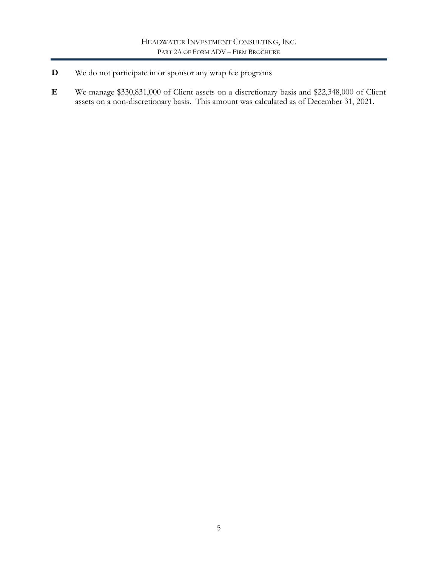- **D** We do not participate in or sponsor any wrap fee programs
- **E** We manage \$330,831,000 of Client assets on a discretionary basis and \$22,348,000 of Client assets on a non-discretionary basis. This amount was calculated as of December 31, 2021.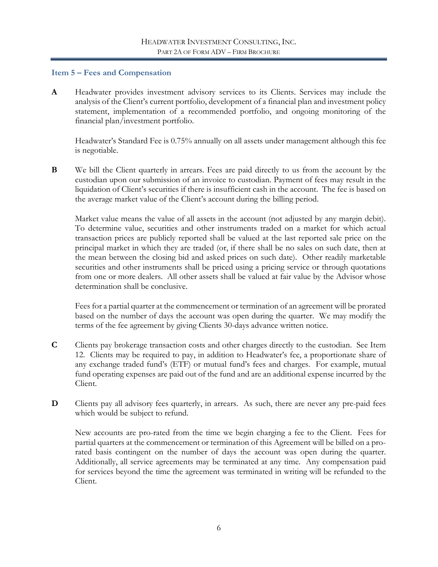#### <span id="page-5-0"></span>**Item 5 – Fees and Compensation**

**A** Headwater provides investment advisory services to its Clients. Services may include the analysis of the Client's current portfolio, development of a financial plan and investment policy statement, implementation of a recommended portfolio, and ongoing monitoring of the financial plan/investment portfolio.

Headwater's Standard Fee is 0.75% annually on all assets under management although this fee is negotiable.

**B** We bill the Client quarterly in arrears. Fees are paid directly to us from the account by the custodian upon our submission of an invoice to custodian. Payment of fees may result in the liquidation of Client's securities if there is insufficient cash in the account. The fee is based on the average market value of the Client's account during the billing period.

Market value means the value of all assets in the account (not adjusted by any margin debit). To determine value, securities and other instruments traded on a market for which actual transaction prices are publicly reported shall be valued at the last reported sale price on the principal market in which they are traded (or, if there shall be no sales on such date, then at the mean between the closing bid and asked prices on such date). Other readily marketable securities and other instruments shall be priced using a pricing service or through quotations from one or more dealers. All other assets shall be valued at fair value by the Advisor whose determination shall be conclusive.

Fees for a partial quarter at the commencement or termination of an agreement will be prorated based on the number of days the account was open during the quarter. We may modify the terms of the fee agreement by giving Clients 30-days advance written notice.

- **C** Clients pay brokerage transaction costs and other charges directly to the custodian. See Item 12. Clients may be required to pay, in addition to Headwater's fee, a proportionate share of any exchange traded fund's (ETF) or mutual fund's fees and charges. For example, mutual fund operating expenses are paid out of the fund and are an additional expense incurred by the Client.
- **D** Clients pay all advisory fees quarterly, in arrears. As such, there are never any pre-paid fees which would be subject to refund.

New accounts are pro-rated from the time we begin charging a fee to the Client. Fees for partial quarters at the commencement or termination of this Agreement will be billed on a prorated basis contingent on the number of days the account was open during the quarter. Additionally, all service agreements may be terminated at any time. Any compensation paid for services beyond the time the agreement was terminated in writing will be refunded to the Client.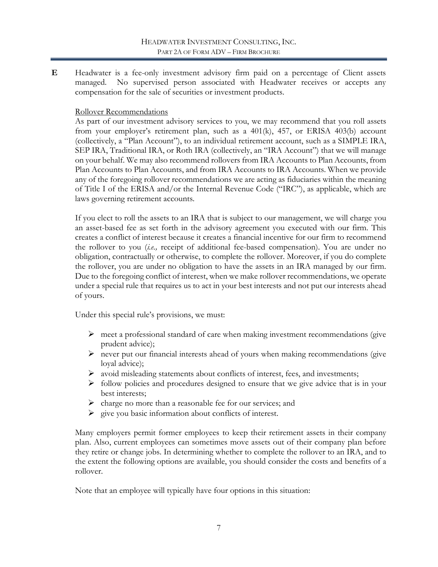**E** Headwater is a fee-only investment advisory firm paid on a percentage of Client assets managed. No supervised person associated with Headwater receives or accepts any compensation for the sale of securities or investment products.

### Rollover Recommendations

As part of our investment advisory services to you, we may recommend that you roll assets from your employer's retirement plan, such as a 401(k), 457, or ERISA 403(b) account (collectively, a "Plan Account"), to an individual retirement account, such as a SIMPLE IRA, SEP IRA, Traditional IRA, or Roth IRA (collectively, an "IRA Account") that we will manage on your behalf. We may also recommend rollovers from IRA Accounts to Plan Accounts, from Plan Accounts to Plan Accounts, and from IRA Accounts to IRA Accounts. When we provide any of the foregoing rollover recommendations we are acting as fiduciaries within the meaning of Title I of the ERISA and/or the Internal Revenue Code ("IRC"), as applicable, which are laws governing retirement accounts.

If you elect to roll the assets to an IRA that is subject to our management, we will charge you an asset-based fee as set forth in the advisory agreement you executed with our firm. This creates a conflict of interest because it creates a financial incentive for our firm to recommend the rollover to you (*i.e.,* receipt of additional fee-based compensation). You are under no obligation, contractually or otherwise, to complete the rollover. Moreover, if you do complete the rollover, you are under no obligation to have the assets in an IRA managed by our firm. Due to the foregoing conflict of interest, when we make rollover recommendations, we operate under a special rule that requires us to act in your best interests and not put our interests ahead of yours.

Under this special rule's provisions, we must:

- $\triangleright$  meet a professional standard of care when making investment recommendations (give prudent advice);
- $\triangleright$  never put our financial interests ahead of yours when making recommendations (give loyal advice);
- avoid misleading statements about conflicts of interest, fees, and investments;
- $\triangleright$  follow policies and procedures designed to ensure that we give advice that is in your best interests;
- $\triangleright$  charge no more than a reasonable fee for our services; and
- $\triangleright$  give you basic information about conflicts of interest.

Many employers permit former employees to keep their retirement assets in their company plan. Also, current employees can sometimes move assets out of their company plan before they retire or change jobs. In determining whether to complete the rollover to an IRA, and to the extent the following options are available, you should consider the costs and benefits of a rollover.

Note that an employee will typically have four options in this situation: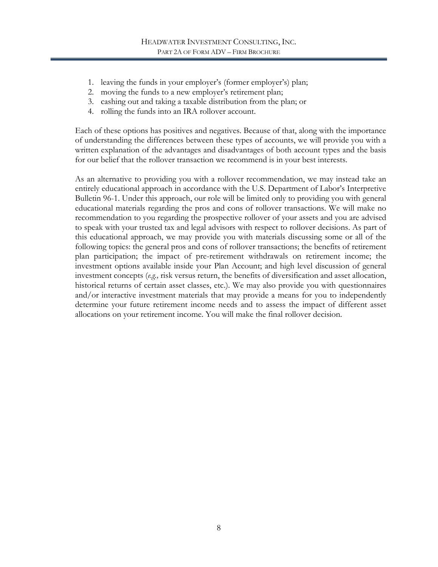- 1. leaving the funds in your employer's (former employer's) plan;
- 2. moving the funds to a new employer's retirement plan;
- 3. cashing out and taking a taxable distribution from the plan; or
- 4. rolling the funds into an IRA rollover account.

Each of these options has positives and negatives. Because of that, along with the importance of understanding the differences between these types of accounts, we will provide you with a written explanation of the advantages and disadvantages of both account types and the basis for our belief that the rollover transaction we recommend is in your best interests.

As an alternative to providing you with a rollover recommendation, we may instead take an entirely educational approach in accordance with the U.S. Department of Labor's Interpretive Bulletin 96-1. Under this approach, our role will be limited only to providing you with general educational materials regarding the pros and cons of rollover transactions. We will make no recommendation to you regarding the prospective rollover of your assets and you are advised to speak with your trusted tax and legal advisors with respect to rollover decisions. As part of this educational approach, we may provide you with materials discussing some or all of the following topics: the general pros and cons of rollover transactions; the benefits of retirement plan participation; the impact of pre-retirement withdrawals on retirement income; the investment options available inside your Plan Account; and high level discussion of general investment concepts (*e.g.,* risk versus return, the benefits of diversification and asset allocation, historical returns of certain asset classes, etc.). We may also provide you with questionnaires and/or interactive investment materials that may provide a means for you to independently determine your future retirement income needs and to assess the impact of different asset allocations on your retirement income. You will make the final rollover decision.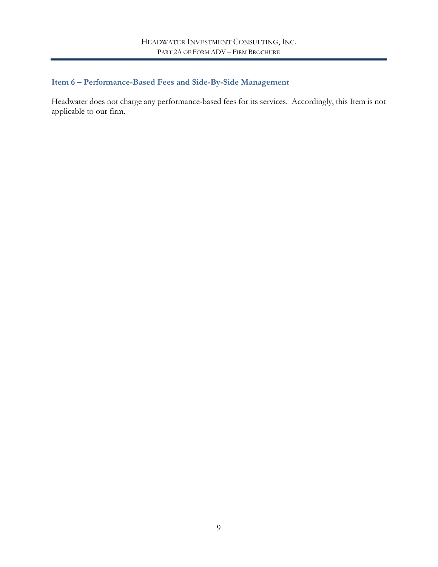# <span id="page-8-0"></span>**Item 6 – Performance-Based Fees and Side-By-Side Management**

Headwater does not charge any performance-based fees for its services. Accordingly, this Item is not applicable to our firm.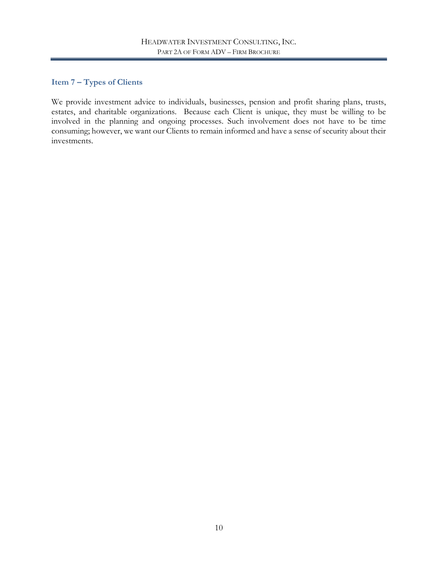# <span id="page-9-0"></span>**Item 7 – Types of Clients**

We provide investment advice to individuals, businesses, pension and profit sharing plans, trusts, estates, and charitable organizations. Because each Client is unique, they must be willing to be involved in the planning and ongoing processes. Such involvement does not have to be time consuming; however, we want our Clients to remain informed and have a sense of security about their investments.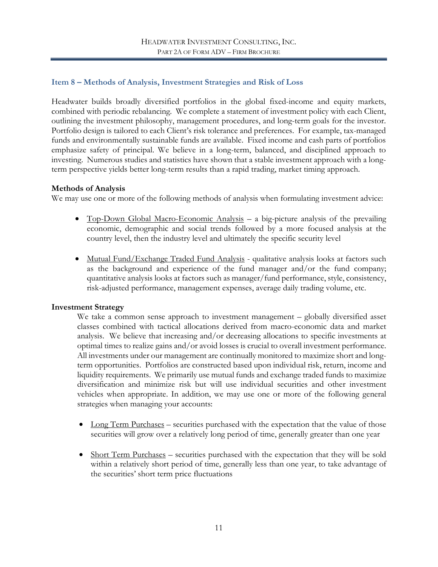## <span id="page-10-0"></span>**Item 8 – Methods of Analysis, Investment Strategies and Risk of Loss**

Headwater builds broadly diversified portfolios in the global fixed-income and equity markets, combined with periodic rebalancing. We complete a statement of investment policy with each Client, outlining the investment philosophy, management procedures, and long-term goals for the investor. Portfolio design is tailored to each Client's risk tolerance and preferences. For example, tax-managed funds and environmentally sustainable funds are available. Fixed income and cash parts of portfolios emphasize safety of principal. We believe in a long-term, balanced, and disciplined approach to investing. Numerous studies and statistics have shown that a stable investment approach with a longterm perspective yields better long-term results than a rapid trading, market timing approach.

#### **Methods of Analysis**

We may use one or more of the following methods of analysis when formulating investment advice:

- Top-Down Global Macro-Economic Analysis a big-picture analysis of the prevailing economic, demographic and social trends followed by a more focused analysis at the country level, then the industry level and ultimately the specific security level
- Mutual Fund/Exchange Traded Fund Analysis qualitative analysis looks at factors such as the background and experience of the fund manager and/or the fund company; quantitative analysis looks at factors such as manager/fund performance, style, consistency, risk-adjusted performance, management expenses, average daily trading volume, etc.

#### **Investment Strategy**

We take a common sense approach to investment management – globally diversified asset classes combined with tactical allocations derived from macro-economic data and market analysis. We believe that increasing and/or decreasing allocations to specific investments at optimal times to realize gains and/or avoid losses is crucial to overall investment performance. All investments under our management are continually monitored to maximize short and longterm opportunities. Portfolios are constructed based upon individual risk, return, income and liquidity requirements. We primarily use mutual funds and exchange traded funds to maximize diversification and minimize risk but will use individual securities and other investment vehicles when appropriate. In addition, we may use one or more of the following general strategies when managing your accounts:

- Long Term Purchases securities purchased with the expectation that the value of those securities will grow over a relatively long period of time, generally greater than one year
- Short Term Purchases securities purchased with the expectation that they will be sold within a relatively short period of time, generally less than one year, to take advantage of the securities' short term price fluctuations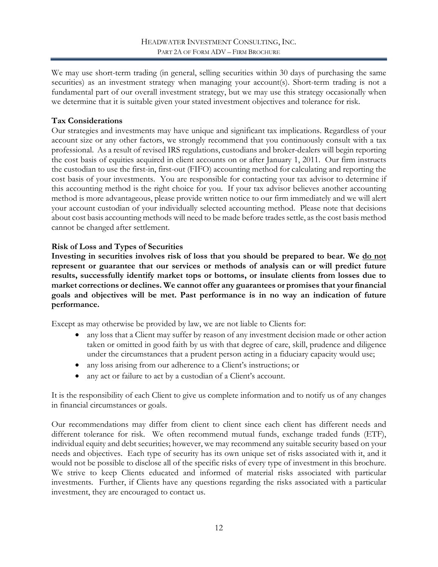We may use short-term trading (in general, selling securities within 30 days of purchasing the same securities) as an investment strategy when managing your account(s). Short-term trading is not a fundamental part of our overall investment strategy, but we may use this strategy occasionally when we determine that it is suitable given your stated investment objectives and tolerance for risk.

## **Tax Considerations**

Our strategies and investments may have unique and significant tax implications. Regardless of your account size or any other factors, we strongly recommend that you continuously consult with a tax professional. As a result of revised IRS regulations, custodians and broker-dealers will begin reporting the cost basis of equities acquired in client accounts on or after January 1, 2011. Our firm instructs the custodian to use the first-in, first-out (FIFO) accounting method for calculating and reporting the cost basis of your investments. You are responsible for contacting your tax advisor to determine if this accounting method is the right choice for you. If your tax advisor believes another accounting method is more advantageous, please provide written notice to our firm immediately and we will alert your account custodian of your individually selected accounting method. Please note that decisions about cost basis accounting methods will need to be made before trades settle, as the cost basis method cannot be changed after settlement.

## **Risk of Loss and Types of Securities**

**Investing in securities involves risk of loss that you should be prepared to bear. We do not represent or guarantee that our services or methods of analysis can or will predict future results, successfully identify market tops or bottoms, or insulate clients from losses due to market corrections or declines. We cannot offer any guarantees or promises that your financial goals and objectives will be met. Past performance is in no way an indication of future performance.** 

Except as may otherwise be provided by law, we are not liable to Clients for:

- any loss that a Client may suffer by reason of any investment decision made or other action taken or omitted in good faith by us with that degree of care, skill, prudence and diligence under the circumstances that a prudent person acting in a fiduciary capacity would use;
- any loss arising from our adherence to a Client's instructions; or
- any act or failure to act by a custodian of a Client's account.

It is the responsibility of each Client to give us complete information and to notify us of any changes in financial circumstances or goals.

Our recommendations may differ from client to client since each client has different needs and different tolerance for risk. We often recommend mutual funds, exchange traded funds (ETF), individual equity and debt securities; however, we may recommend any suitable security based on your needs and objectives. Each type of security has its own unique set of risks associated with it, and it would not be possible to disclose all of the specific risks of every type of investment in this brochure. We strive to keep Clients educated and informed of material risks associated with particular investments. Further, if Clients have any questions regarding the risks associated with a particular investment, they are encouraged to contact us.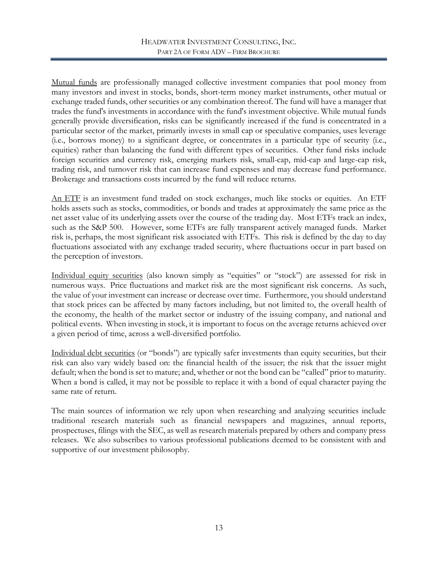Mutual funds are professionally managed collective investment companies that pool money from many investors and invest in stocks, bonds, short-term money market instruments, other mutual or exchange traded funds, other securities or any combination thereof. The fund will have a manager that trades the fund's investments in accordance with the fund's investment objective. While mutual funds generally provide diversification, risks can be significantly increased if the fund is concentrated in a particular sector of the market, primarily invests in small cap or speculative companies, uses leverage (i.e., borrows money) to a significant degree, or concentrates in a particular type of security (i.e., equities) rather than balancing the fund with different types of securities. Other fund risks include foreign securities and currency risk, emerging markets risk, small-cap, mid-cap and large-cap risk, trading risk, and turnover risk that can increase fund expenses and may decrease fund performance. Brokerage and transactions costs incurred by the fund will reduce returns.

An ETF is an investment fund traded on stock exchanges, much like stocks or equities. An ETF holds assets such as stocks, commodities, or bonds and trades at approximately the same price as the net asset value of its underlying assets over the course of the trading day. Most ETFs track an index, such as the S&P 500. However, some ETFs are fully transparent actively managed funds. Market risk is, perhaps, the most significant risk associated with ETFs. This risk is defined by the day to day fluctuations associated with any exchange traded security, where fluctuations occur in part based on the perception of investors.

Individual equity securities (also known simply as "equities" or "stock") are assessed for risk in numerous ways. Price fluctuations and market risk are the most significant risk concerns. As such, the value of your investment can increase or decrease over time. Furthermore, you should understand that stock prices can be affected by many factors including, but not limited to, the overall health of the economy, the health of the market sector or industry of the issuing company, and national and political events. When investing in stock, it is important to focus on the average returns achieved over a given period of time, across a well-diversified portfolio.

Individual debt securities (or "bonds") are typically safer investments than equity securities, but their risk can also vary widely based on: the financial health of the issuer; the risk that the issuer might default; when the bond is set to mature; and, whether or not the bond can be "called" prior to maturity. When a bond is called, it may not be possible to replace it with a bond of equal character paying the same rate of return.

The main sources of information we rely upon when researching and analyzing securities include traditional research materials such as financial newspapers and magazines, annual reports, prospectuses, filings with the SEC, as well as research materials prepared by others and company press releases. We also subscribes to various professional publications deemed to be consistent with and supportive of our investment philosophy.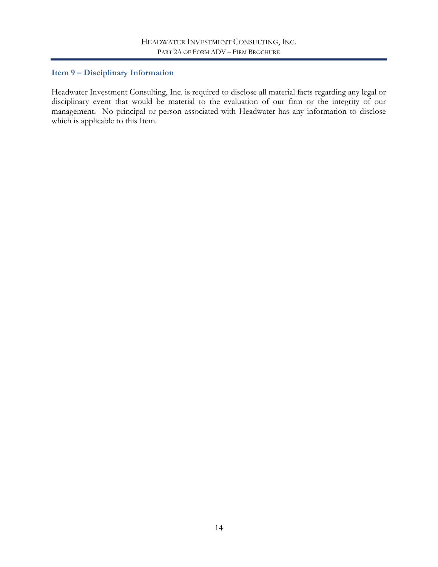# <span id="page-13-0"></span>**Item 9 – Disciplinary Information**

Headwater Investment Consulting, Inc. is required to disclose all material facts regarding any legal or disciplinary event that would be material to the evaluation of our firm or the integrity of our management. No principal or person associated with Headwater has any information to disclose which is applicable to this Item.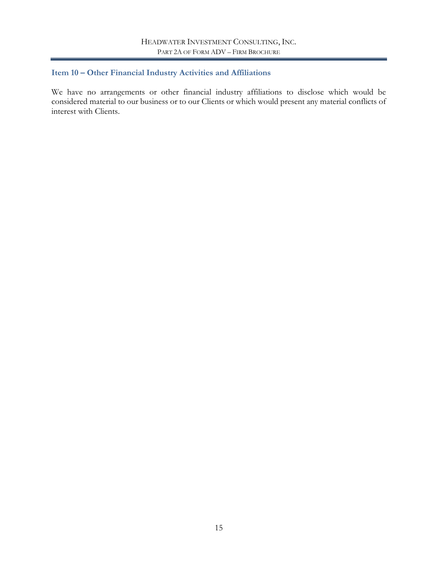# <span id="page-14-0"></span>**Item 10 – Other Financial Industry Activities and Affiliations**

We have no arrangements or other financial industry affiliations to disclose which would be considered material to our business or to our Clients or which would present any material conflicts of interest with Clients.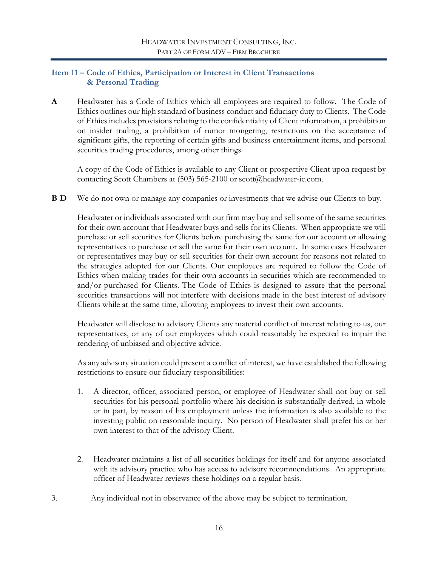## <span id="page-15-0"></span>**Item 11 – Code of Ethics, Participation or Interest in Client Transactions & Personal Trading**

**A** Headwater has a Code of Ethics which all employees are required to follow. The Code of Ethics outlines our high standard of business conduct and fiduciary duty to Clients. The Code of Ethics includes provisions relating to the confidentiality of Client information, a prohibition on insider trading, a prohibition of rumor mongering, restrictions on the acceptance of significant gifts, the reporting of certain gifts and business entertainment items, and personal securities trading procedures, among other things.

A copy of the Code of Ethics is available to any Client or prospective Client upon request by contacting Scott Chambers at (503) 565-2100 or scott@headwater-ic.com.

**B**-**D** We do not own or manage any companies or investments that we advise our Clients to buy.

Headwater or individuals associated with our firm may buy and sell some of the same securities for their own account that Headwater buys and sells for its Clients. When appropriate we will purchase or sell securities for Clients before purchasing the same for our account or allowing representatives to purchase or sell the same for their own account. In some cases Headwater or representatives may buy or sell securities for their own account for reasons not related to the strategies adopted for our Clients. Our employees are required to follow the Code of Ethics when making trades for their own accounts in securities which are recommended to and/or purchased for Clients. The Code of Ethics is designed to assure that the personal securities transactions will not interfere with decisions made in the best interest of advisory Clients while at the same time, allowing employees to invest their own accounts.

Headwater will disclose to advisory Clients any material conflict of interest relating to us, our representatives, or any of our employees which could reasonably be expected to impair the rendering of unbiased and objective advice.

As any advisory situation could present a conflict of interest, we have established the following restrictions to ensure our fiduciary responsibilities:

- 1. A director, officer, associated person, or employee of Headwater shall not buy or sell securities for his personal portfolio where his decision is substantially derived, in whole or in part, by reason of his employment unless the information is also available to the investing public on reasonable inquiry. No person of Headwater shall prefer his or her own interest to that of the advisory Client.
- 2. Headwater maintains a list of all securities holdings for itself and for anyone associated with its advisory practice who has access to advisory recommendations. An appropriate officer of Headwater reviews these holdings on a regular basis.
- 3. Any individual not in observance of the above may be subject to termination.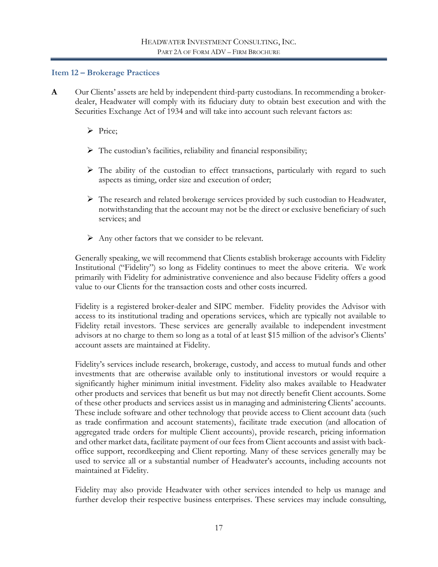#### <span id="page-16-0"></span>**Item 12 – Brokerage Practices**

- **A** Our Clients' assets are held by independent third-party custodians. In recommending a brokerdealer, Headwater will comply with its fiduciary duty to obtain best execution and with the Securities Exchange Act of 1934 and will take into account such relevant factors as:
	- $\triangleright$  Price;
	- $\triangleright$  The custodian's facilities, reliability and financial responsibility;
	- The ability of the custodian to effect transactions, particularly with regard to such aspects as timing, order size and execution of order;
	- $\triangleright$  The research and related brokerage services provided by such custodian to Headwater, notwithstanding that the account may not be the direct or exclusive beneficiary of such services; and
	- $\triangleright$  Any other factors that we consider to be relevant.

Generally speaking, we will recommend that Clients establish brokerage accounts with Fidelity Institutional ("Fidelity") so long as Fidelity continues to meet the above criteria. We work primarily with Fidelity for administrative convenience and also because Fidelity offers a good value to our Clients for the transaction costs and other costs incurred.

Fidelity is a registered broker-dealer and SIPC member. Fidelity provides the Advisor with access to its institutional trading and operations services, which are typically not available to Fidelity retail investors. These services are generally available to independent investment advisors at no charge to them so long as a total of at least \$15 million of the advisor's Clients' account assets are maintained at Fidelity.

Fidelity's services include research, brokerage, custody, and access to mutual funds and other investments that are otherwise available only to institutional investors or would require a significantly higher minimum initial investment. Fidelity also makes available to Headwater other products and services that benefit us but may not directly benefit Client accounts. Some of these other products and services assist us in managing and administering Clients' accounts. These include software and other technology that provide access to Client account data (such as trade confirmation and account statements), facilitate trade execution (and allocation of aggregated trade orders for multiple Client accounts), provide research, pricing information and other market data, facilitate payment of our fees from Client accounts and assist with backoffice support, recordkeeping and Client reporting. Many of these services generally may be used to service all or a substantial number of Headwater's accounts, including accounts not maintained at Fidelity.

Fidelity may also provide Headwater with other services intended to help us manage and further develop their respective business enterprises. These services may include consulting,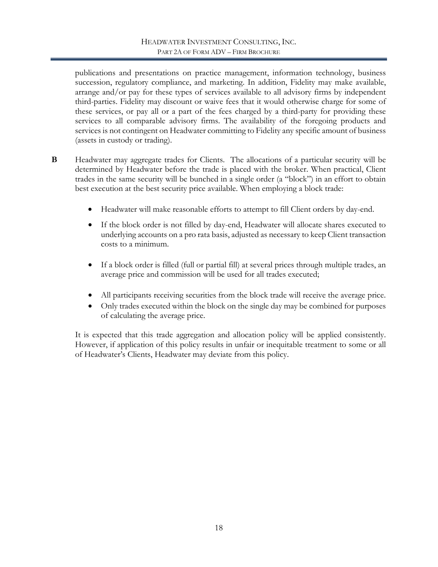publications and presentations on practice management, information technology, business succession, regulatory compliance, and marketing. In addition, Fidelity may make available, arrange and/or pay for these types of services available to all advisory firms by independent third-parties. Fidelity may discount or waive fees that it would otherwise charge for some of these services, or pay all or a part of the fees charged by a third-party for providing these services to all comparable advisory firms. The availability of the foregoing products and services is not contingent on Headwater committing to Fidelity any specific amount of business (assets in custody or trading).

- **B** Headwater may aggregate trades for Clients. The allocations of a particular security will be determined by Headwater before the trade is placed with the broker. When practical, Client trades in the same security will be bunched in a single order (a "block") in an effort to obtain best execution at the best security price available. When employing a block trade:
	- Headwater will make reasonable efforts to attempt to fill Client orders by day-end.
	- If the block order is not filled by day-end, Headwater will allocate shares executed to underlying accounts on a pro rata basis, adjusted as necessary to keep Client transaction costs to a minimum.
	- If a block order is filled (full or partial fill) at several prices through multiple trades, an average price and commission will be used for all trades executed;
	- All participants receiving securities from the block trade will receive the average price.
	- Only trades executed within the block on the single day may be combined for purposes of calculating the average price.

It is expected that this trade aggregation and allocation policy will be applied consistently. However, if application of this policy results in unfair or inequitable treatment to some or all of Headwater's Clients, Headwater may deviate from this policy.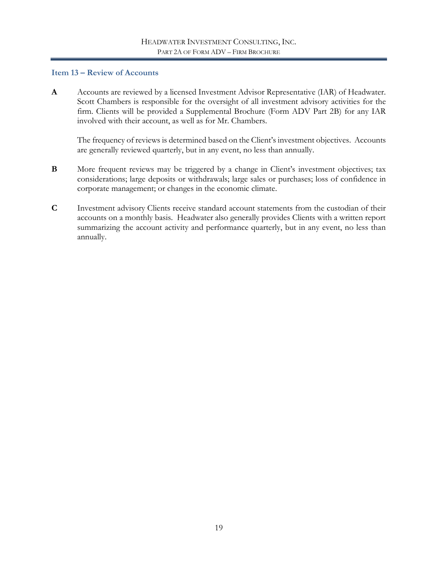### <span id="page-18-0"></span>**Item 13 – Review of Accounts**

**A** Accounts are reviewed by a licensed Investment Advisor Representative (IAR) of Headwater. Scott Chambers is responsible for the oversight of all investment advisory activities for the firm. Clients will be provided a Supplemental Brochure (Form ADV Part 2B) for any IAR involved with their account, as well as for Mr. Chambers.

The frequency of reviews is determined based on the Client's investment objectives. Accounts are generally reviewed quarterly, but in any event, no less than annually.

- **B** More frequent reviews may be triggered by a change in Client's investment objectives; tax considerations; large deposits or withdrawals; large sales or purchases; loss of confidence in corporate management; or changes in the economic climate.
- **C** Investment advisory Clients receive standard account statements from the custodian of their accounts on a monthly basis. Headwater also generally provides Clients with a written report summarizing the account activity and performance quarterly, but in any event, no less than annually.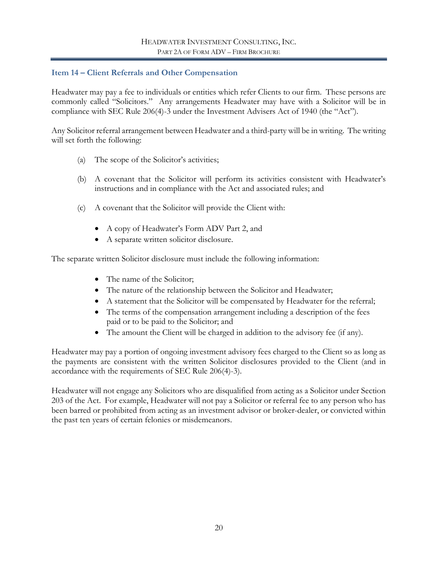## <span id="page-19-0"></span>**Item 14 – Client Referrals and Other Compensation**

Headwater may pay a fee to individuals or entities which refer Clients to our firm. These persons are commonly called "Solicitors." Any arrangements Headwater may have with a Solicitor will be in compliance with SEC Rule 206(4)-3 under the Investment Advisers Act of 1940 (the "Act").

Any Solicitor referral arrangement between Headwater and a third-party will be in writing. The writing will set forth the following:

- (a) The scope of the Solicitor's activities;
- (b) A covenant that the Solicitor will perform its activities consistent with Headwater's instructions and in compliance with the Act and associated rules; and
- (c) A covenant that the Solicitor will provide the Client with:
	- A copy of Headwater's Form ADV Part 2, and
	- A separate written solicitor disclosure.

The separate written Solicitor disclosure must include the following information:

- The name of the Solicitor;
- The nature of the relationship between the Solicitor and Headwater;
- A statement that the Solicitor will be compensated by Headwater for the referral;
- The terms of the compensation arrangement including a description of the fees paid or to be paid to the Solicitor; and
- The amount the Client will be charged in addition to the advisory fee (if any).

Headwater may pay a portion of ongoing investment advisory fees charged to the Client so as long as the payments are consistent with the written Solicitor disclosures provided to the Client (and in accordance with the requirements of SEC Rule 206(4)-3).

Headwater will not engage any Solicitors who are disqualified from acting as a Solicitor under Section 203 of the Act. For example, Headwater will not pay a Solicitor or referral fee to any person who has been barred or prohibited from acting as an investment advisor or broker-dealer, or convicted within the past ten years of certain felonies or misdemeanors.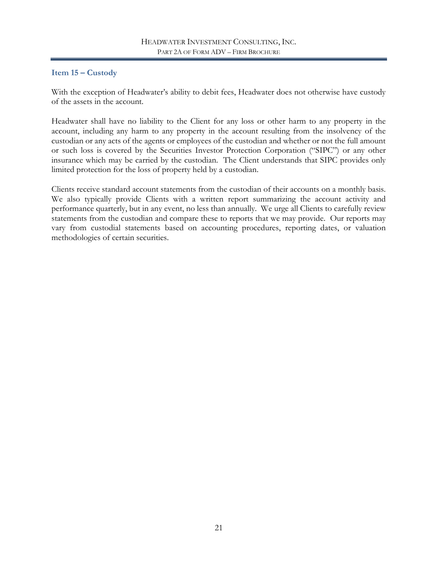# <span id="page-20-0"></span>**Item 15 – Custody**

With the exception of Headwater's ability to debit fees, Headwater does not otherwise have custody of the assets in the account.

Headwater shall have no liability to the Client for any loss or other harm to any property in the account, including any harm to any property in the account resulting from the insolvency of the custodian or any acts of the agents or employees of the custodian and whether or not the full amount or such loss is covered by the Securities Investor Protection Corporation ("SIPC") or any other insurance which may be carried by the custodian. The Client understands that SIPC provides only limited protection for the loss of property held by a custodian.

Clients receive standard account statements from the custodian of their accounts on a monthly basis. We also typically provide Clients with a written report summarizing the account activity and performance quarterly, but in any event, no less than annually. We urge all Clients to carefully review statements from the custodian and compare these to reports that we may provide. Our reports may vary from custodial statements based on accounting procedures, reporting dates, or valuation methodologies of certain securities.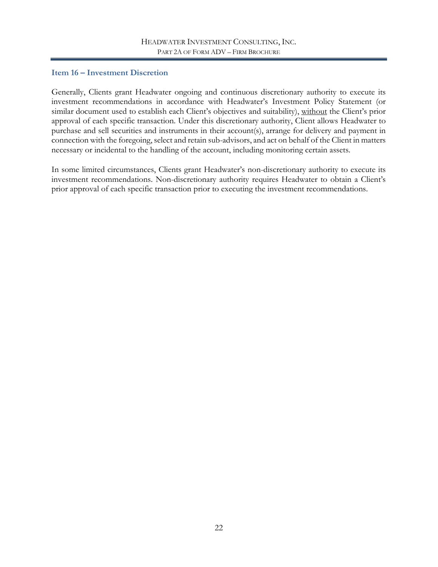## <span id="page-21-0"></span>**Item 16 – Investment Discretion**

Generally, Clients grant Headwater ongoing and continuous discretionary authority to execute its investment recommendations in accordance with Headwater's Investment Policy Statement (or similar document used to establish each Client's objectives and suitability), without the Client's prior approval of each specific transaction. Under this discretionary authority, Client allows Headwater to purchase and sell securities and instruments in their account(s), arrange for delivery and payment in connection with the foregoing, select and retain sub-advisors, and act on behalf of the Client in matters necessary or incidental to the handling of the account, including monitoring certain assets.

In some limited circumstances, Clients grant Headwater's non-discretionary authority to execute its investment recommendations. Non-discretionary authority requires Headwater to obtain a Client's prior approval of each specific transaction prior to executing the investment recommendations.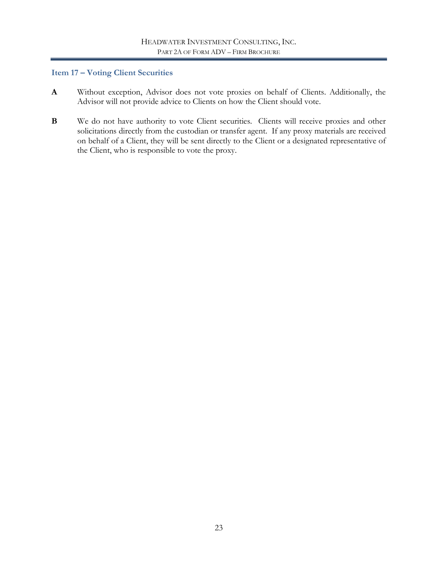## <span id="page-22-0"></span>**Item 17 – Voting Client Securities**

- **A** Without exception, Advisor does not vote proxies on behalf of Clients. Additionally, the Advisor will not provide advice to Clients on how the Client should vote.
- **B** We do not have authority to vote Client securities. Clients will receive proxies and other solicitations directly from the custodian or transfer agent. If any proxy materials are received on behalf of a Client, they will be sent directly to the Client or a designated representative of the Client, who is responsible to vote the proxy.